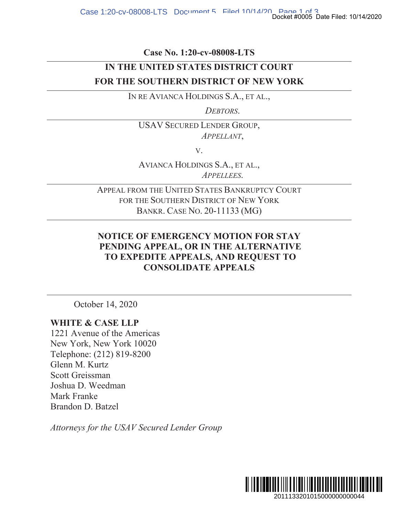Case No. 1:20-cv-08008-LTS

## IN THE UNITED STATES DISTRICT COURT FOR THE SOUTHERN DISTRICT OF NEW YORK

IN RE AVIANCA HOLDINGS S.A., ET AL.,

DEBTORS.

**USAV SECURED LENDER GROUP,** APPELLANT,

V.

AVIANCA HOLDINGS S.A., ET AL., APPELLEES.

APPEAL FROM THE UNITED STATES BANKRUPTCY COURT FOR THE SOUTHERN DISTRICT OF NEW YORK BANKR. CASE No. 20-11133 (MG)

## **NOTICE OF EMERGENCY MOTION FOR STAY** PENDING APPEAL, OR IN THE ALTERNATIVE TO EXPEDITE APPEALS, AND REQUEST TO **CONSOLIDATE APPEALS**

October 14, 2020

## **WHITE & CASE LLP**

1221 Avenue of the Americas New York, New York 10020 Telephone: (212) 819-8200 Glenn M. Kurtz Scott Greissman Joshua D. Weedman Mark Franke Brandon D. Batzel

Attorneys for the USAV Secured Lender Group

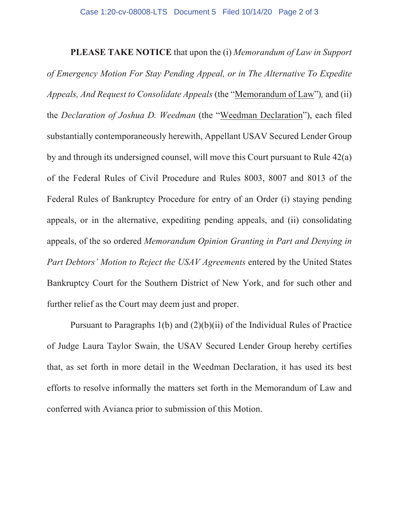**PLEASE TAKE NOTICE** that upon the (i) Memorandum of Law in Support *of Emergency Motion For Stay Pending Appeal, or in The Alternative To Expedite Appeals, And Request to Consolidate Appeals* (the "Memorandum of Law"), and (ii) the *Declaration of Joshua D. Weedman* (the "Weedman Declaration"), each filed substantially contemporaneously herewith, Appellant USAV Secured Lender Group by and through its undersigned counsel, will move this Court pursuant to Rule  $42(a)$ of the Federal Rules of Civil Procedure and Rules 8003, 8007 and 8013 of the Federal Rules of Bankruptcy Procedure for entry of an Order (i) staying pending appeals, or in the alternative, expediting pending appeals, and (ii) consolidating appeals, of the so ordered Memorandum Opinion Granting in Part and Denying in *Part Debtors' Motion to Reject the USAV Agreements* entered by the United States Bankruptcy Court for the Southern District of New York, and for such other and further relief as the Court may deem just and proper.

Pursuant to Paragraphs  $1(b)$  and  $(2)(b)(ii)$  of the Individual Rules of Practice of Judge Laura Taylor Swain, the USAV Secured Lender Group hereby certifies that, as set forth in more detail in the Weedman Declaration, it has used its best efforts to resolve informally the matters set forth in the Memorandum of Law and conferred with Avianca prior to submission of this Motion.